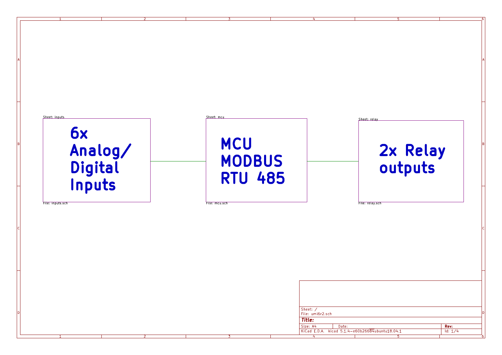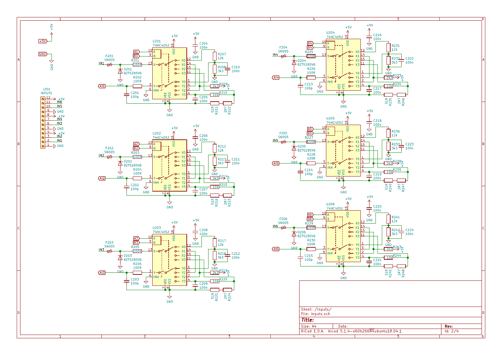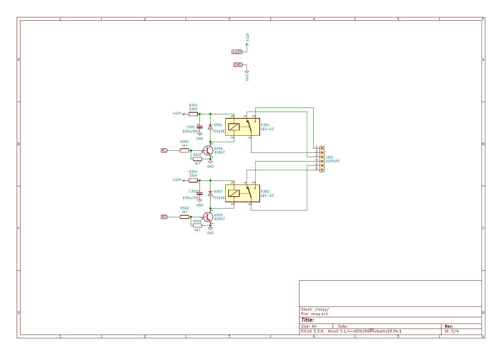